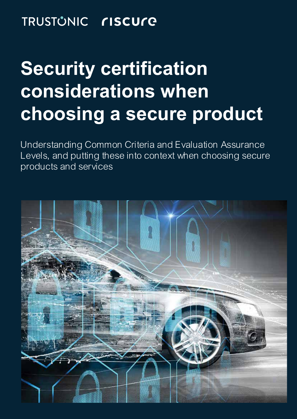#### TRUSTŮNIC **riscure**

# **Security certification considerations when choosing a secure product**

Understanding Common Criteria and Evaluation Assurance Levels, and putting these into context when choosing secure products and services

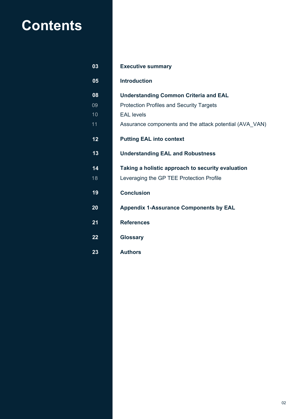### **Contents**

| 03 | <b>Executive summary</b>                                |
|----|---------------------------------------------------------|
| 05 | <b>Introduction</b>                                     |
| 08 | <b>Understanding Common Criteria and EAL</b>            |
| 09 | <b>Protection Profiles and Security Targets</b>         |
| 10 | <b>EAL</b> levels                                       |
| 11 | Assurance components and the attack potential (AVA VAN) |
| 12 | <b>Putting EAL into context</b>                         |
| 13 | <b>Understanding EAL and Robustness</b>                 |
| 14 | Taking a holistic approach to security evaluation       |
| 18 | Leveraging the GP TEE Protection Profile                |
| 19 | <b>Conclusion</b>                                       |
| 20 | <b>Appendix 1-Assurance Components by EAL</b>           |
| 21 | <b>References</b>                                       |
| 22 | <b>Glossary</b>                                         |
| 23 | <b>Authors</b>                                          |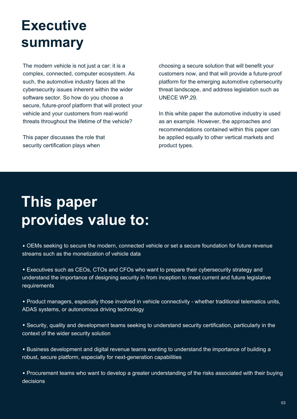### **Executive summary**

The modern vehicle is not just a car: it is a complex, connected, computer ecosystem. As such, the automotive industry faces all the cybersecurity issues inherent within the wider software sector. So how do you choose a secure, future-proof platform that will protect your vehicle and your customers from real-world threats throughout the lifetime of the vehicle?

This paper discusses the role that security certification plays when

choosing a secure solution that will benefit your customers now, and that will provide a future-proof platform for the emerging automotive cybersecurity threat landscape, and address legislation such as UNECE WP.29.

In this white paper the automotive industry is used as an example. However, the approaches and recommendations contained within this paper can be applied equally to other vertical markets and product types.

# **This paper provides value to:**

 OEMs seeking to secure the modern, connected vehicle or set a secure foundation for future revenue streams such as the monetization of vehicle data

 Executives such as CEOs, CTOs and CFOs who want to prepare their cybersecurity strategy and understand the importance of designing security in from inception to meet current and future legislative requirements

 Product managers, especially those involved in vehicle connectivity - whether traditional telematics units, ADAS systems, or autonomous driving technology

 Security, quality and development teams seeking to understand security certification, particularly in the context of the wider security solution

 Business development and digital revenue teams wanting to understand the importance of building a robust, secure platform, especially for next-generation capabilities

 Procurement teams who want to develop a greater understanding of the risks associated with their buying decisions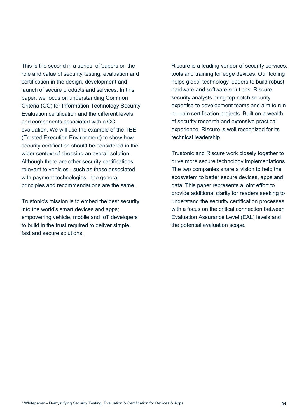This is the second in a series of papers on the 1role and value of security testing, evaluation and certification in the design, development and launch of secure products and services. In this paper, we focus on understanding Common Criteria (CC) for Information Technology Security Evaluation certification and the different levels and components associated with a CC evaluation. We will use the example of the TEE (Trusted Execution Environment) to show how security certification should be considered in the wider context of choosing an overall solution. Although there are other security certifications relevant to vehicles - such as those associated with payment technologies - the general principles and recommendations are the same.

Trustonic's mission is to embed the best security into the world's smart devices and apps; empowering vehicle, mobile and IoT developers to build in the trust required to deliver simple, fast and secure solutions.

Riscure is a leading vendor of security services, tools and training for edge devices. Our tooling helps global technology leaders to build robust hardware and software solutions. Riscure security analysts bring top-notch security expertise to development teams and aim to run no-pain certification projects. Built on a wealth of security research and extensive practical experience, Riscure is well recognized for its technical leadership.

Trustonic and Riscure work closely together to drive more secure technology implementations. The two companies share a vision to help the ecosystem to better secure devices, apps and data. This paper represents a joint effort to provide additional clarity for readers seeking to understand the security certification processes with a focus on the critical connection between Evaluation Assurance Level (EAL) levels and the potential evaluation scope.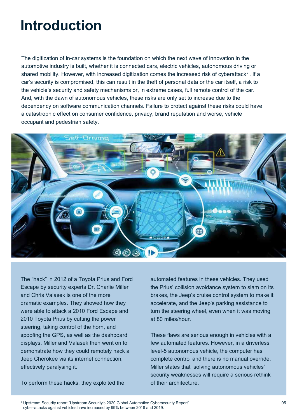#### **Introduction**

The digitization of in-car systems is the foundation on which the next wave of innovation in the automotive industry is built, whether it is connected cars, electric vehicles, autonomous driving or shared mobility. However, with increased digitization comes the increased risk of cyberattack $^{\text{z}}$  . If a car's security is compromised, this can result in the theft of personal data or the car itself, a risk to the vehicle's security and safety mechanisms or, in extreme cases, full remote control of the car. And, with the dawn of autonomous vehicles, these risks are only set to increase due to the dependency on software communication channels. Failure to protect against these risks could have a catastrophic effect on consumer confidence, privacy, brand reputation and worse, vehicle occupant and pedestrian safety.



The "hack" in 2012 of a Toyota Prius and Ford Escape by security experts Dr. Charlie Miller and Chris Valasek is one of the more dramatic examples. They showed how they were able to attack a 2010 Ford Escape and 2010 Toyota Prius by cutting the power steering, taking control of the horn, and spoofing the GPS, as well as the dashboard displays. Miller and Valasek then went on to demonstrate how they could remotely hack a Jeep Cherokee via its internet connection, effectively paralysing it.

To perform these hacks, they exploited the

automated features in these vehicles. They used the Prius' collision avoidance system to slam on its brakes, the Jeep's cruise control system to make it accelerate, and the Jeep's parking assistance to turn the steering wheel, even when it was moving at 80 miles/hour.

These flaws are serious enough in vehicles with a few automated features. However, in a driverless level-5 autonomous vehicle, the computer has complete control and there is no manual override. Miller states that solving autonomous vehicles' security weaknesses will require a serious rethink of their architecture.

 $^\mathrm{2}$  Upstream Security report "Upstream Security's 2020 Global Automotive Cybersecurity Report" cyber-attacks against vehicles have increased by 99% between 2018 and 2019.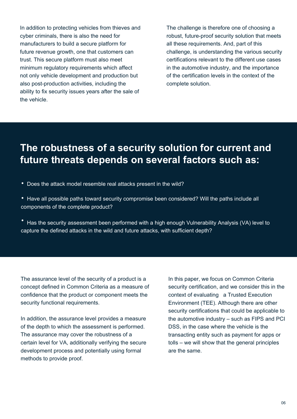In addition to protecting vehicles from thieves and cyber criminals, there is also the need for manufacturers to build a secure platform for future revenue growth, one that customers can trust. This secure platform must also meet minimum regulatory requirements which affect not only vehicle development and production but also post-production activities, including the ability to fix security issues years after the sale of the vehicle.

The challenge is therefore one of choosing a robust, future-proof security solution that meets all these requirements. And, part of this challenge, is understanding the various security certifications relevant to the different use cases in the automotive industry, and the importance of the certification levels in the context of the complete solution.

#### **The robustness of a security solution for current and future threats depends on several factors such as:**

- Does the attack model resemble real attacks present in the wild?
- Have all possible paths toward security compromise been considered? Will the paths include all components of the complete product?
- Has the security assessment been performed with a high enough Vulnerability Analysis (VA) level to capture the defined attacks in the wild and future attacks, with sufficient depth?

The assurance level of the security of a product is a concept defined in Common Criteria as a measure of confidence that the product or component meets the security functional requirements.

In addition, the assurance level provides a measure of the depth to which the assessment is performed. The assurance may cover the robustness of a certain level for VA, additionally verifying the secure development process and potentially using formal methods to provide proof.

In this paper, we focus on Common Criteria security certification, and we consider this in the context of evaluating a Trusted Execution Environment (TEE). Although there are other security certifications that could be applicable to the automotive industry – such as FIPS and PCI DSS, in the case where the vehicle is the transacting entity such as payment for apps or tolls – we will show that the general principles are the same.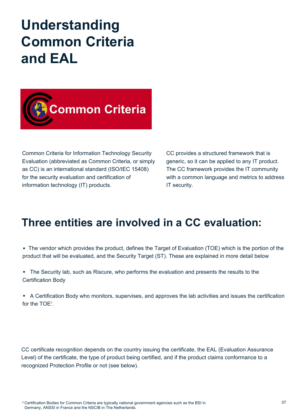#### **Understanding Common Criteria and EAL**



Common Criteria for Information Technology Security Evaluation (abbreviated as Common Criteria, or simply as CC) is an international standard (ISO/IEC 15408) for the security evaluation and certification of information technology (IT) products.

CC provides a structured framework that is generic, so it can be applied to any IT product. The CC framework provides the IT community with a common language and metrics to address IT security.

#### **Three entities are involved in a CC evaluation:**

 The vendor which provides the product, defines the Target of Evaluation (TOE) which is the portion of the product that will be evaluated, and the Security Target (ST). These are explained in more detail below

 The Security lab, such as Riscure, who performs the evaluation and presents the results to the Certification Body

 A Certification Body who monitors, supervises, and approves the lab activities and issues the certification for the  $TOE<sup>3</sup>$ .

CC certificate recognition depends on the country issuing the certificate, the EAL (Evaluation Assurance Level) of the certificate, the type of product being certified, and if the product claims conformance to a recognized Protection Profile or not (see below).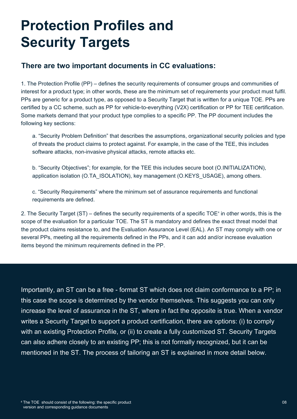#### **Protection Profiles and Security Targets**

#### **There are two important documents in CC evaluations:**

1. The Protection Profile (PP) – defines the security requirements of consumer groups and communities of interest for a product type; in other words, these are the minimum set of requirements your product must fulfil. PPs are generic for a product type, as opposed to a Security Target that is written for a unique TOE. PPs are certified by a CC scheme, such as PP for vehicle-to-everything (V2X) certification or PP for TEE certification. Some markets demand that your product type complies to a specific PP. The PP document includes the following key sections:

a. "Security Problem Definition" that describes the assumptions, organizational security policies and type of threats the product claims to protect against. For example, in the case of the TEE, this includes software attacks, non-invasive physical attacks, remote attacks etc.

b. "Security Objectives"; for example, for the TEE this includes secure boot (O.INITIALIZATION), application isolation (O.TA\_ISOLATION), key management (O.KEYS\_USAGE), among others.

c. "Security Requirements" where the minimum set of assurance requirements and functional requirements are defined.

2. The Security Target (ST) – defines the security requirements of a specific TOE $^{\circ}$  in other words, this is the scope of the evaluation for a particular TOE. The ST is mandatory and defines the exact threat model that the product claims resistance to, and the Evaluation Assurance Level (EAL). An ST may comply with one or several PPs, meeting all the requirements defined in the PPs, and it can add and/or increase evaluation items beyond the minimum requirements defined in the PP.

Importantly, an ST can be a free - format ST which does not claim conformance to a PP; in this case the scope is determined by the vendor themselves. This suggests you can only increase the level of assurance in the ST, where in fact the opposite is true. When a vendor writes a Security Target to support a product certification, there are options: (i) to comply with an existing Protection Profile, or (ii) to create a fully customized ST. Security Targets can also adhere closely to an existing PP; this is not formally recognized, but it can be mentioned in the ST. The process of tailoring an ST is explained in more detail below.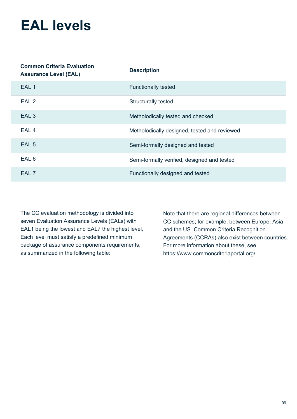#### **EAL levels**

| <b>Common Criteria Evaluation</b><br><b>Assurance Level (EAL)</b> | <b>Description</b>                           |
|-------------------------------------------------------------------|----------------------------------------------|
| EAL <sub>1</sub>                                                  | <b>Functionally tested</b>                   |
| EAL <sub>2</sub>                                                  | <b>Structurally tested</b>                   |
| EAL <sub>3</sub>                                                  | Metholodically tested and checked            |
| EAL <sub>4</sub>                                                  | Metholodically designed, tested and reviewed |
| EAL <sub>5</sub>                                                  | Semi-formally designed and tested            |
| EAL 6                                                             | Semi-formally verified, designed and tested  |
| EAL <sub>7</sub>                                                  | Functionally designed and tested             |

The CC evaluation methodology is divided into seven Evaluation Assurance Levels (EALs) with EAL1 being the lowest and EAL7 the highest level. Each level must satisfy a predefined minimum package of assurance components requirements, as summarized in the following table:

Note that there are regional differences between CC schemes; for example, between Europe, Asia and the US. Common Criteria Recognition Agreements (CCRAs) also exist between countries. For more information about these, see https://www.commoncriteriaportal.org/.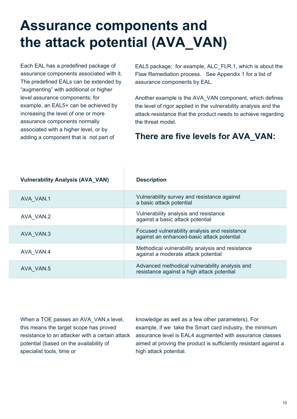### **Assurance components and the attack potential (AVA\_VAN)**

Each EAL has a predefined package of assurance components associated with it. The predefined EALs can be extended by "augmenting" with additional or higher level assurance components; for example, an EAL5+ can be achieved by increasing the level of one or more assurance components normally associated with a higher level, or by adding a component that is not part of

EAL5 package; for example, ALC\_FLR.1, which is about the Flaw Remediation process. See Appendix 1 for a list of assurance components by EAL.

Another example is the AVA\_VAN component, which defines the level of rigor applied in the vulnerability analysis and the attack resistance that the product needs to achieve regarding the threat model.

#### **There are five levels for AVA\_VAN:**

| <b>Vulnerability Analysis (AVA_VAN)</b> | <b>Description</b>                                                                           |
|-----------------------------------------|----------------------------------------------------------------------------------------------|
| AVA VAN.1                               | Vulnerability survey and resistance against<br>a basic attack potential                      |
| AVA VAN.2                               | Vulnerability analysis and resistance<br>against a basic attack potential                    |
| AVA VAN.3                               | Focused vulnerability analysis and resistance<br>against an enhanced-basic attack potential  |
| AVA VAN.4                               | Methodical vulnerability analysis and resistance<br>against a moderate attack potential      |
| AVA VAN.5                               | Advanced methodical vulnerability analysis and<br>resistance against a high attack potential |

When a TOE passes an AVA\_VAN.x level, this means the target scope has proved resistance to an attacker with a certain attack potential (based on the availability of specialist tools, time or

knowledge as well as a few other parameters). For example, if we take the Smart card industry, the minimum assurance level is EAL4 augmented with assurance classes aimed at proving the product is sufficiently resistant against a high attack potential.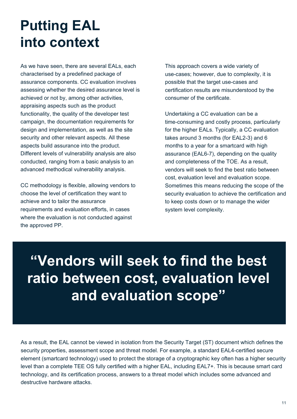# **Putting EAL into context**

As we have seen, there are several EALs, each characterised by a predefined package of assurance components. CC evaluation involves assessing whether the desired assurance level is achieved or not by, among other activities, appraising aspects such as the product functionality, the quality of the developer test campaign, the documentation requirements for design and implementation, as well as the site security and other relevant aspects. All these aspects build assurance into the product. Different levels of vulnerability analysis are also conducted, ranging from a basic analysis to an advanced methodical vulnerability analysis.

CC methodology is flexible, allowing vendors to choose the level of certification they want to achieve and to tailor the assurance requirements and evaluation efforts, in cases where the evaluation is not conducted against the approved PP.

This approach covers a wide variety of use-cases; however, due to complexity, it is possible that the target use-cases and certification results are misunderstood by the consumer of the certificate.

Undertaking a CC evaluation can be a time-consuming and costly process, particularly for the higher EALs. Typically, a CC evaluation takes around 3 months (for EAL2-3) and 6 months to a year for a smartcard with high assurance (EAL6-7), depending on the quality and completeness of the TOE. As a result, vendors will seek to find the best ratio between cost, evaluation level and evaluation scope. Sometimes this means reducing the scope of the security evaluation to achieve the certification and to keep costs down or to manage the wider system level complexity.

# **"Vendors will seek to find the best ratio between cost, evaluation level and evaluation scope"**

As a result, the EAL cannot be viewed in isolation from the Security Target (ST) document which defines the security properties, assessment scope and threat model. For example, a standard EAL4-certified secure element (smartcard technology) used to protect the storage of a cryptographic key often has a higher security level than a complete TEE OS fully certified with a higher EAL, including EAL7+. This is because smart card technology, and its certification process, answers to a threat model which includes some advanced and destructive hardware attacks.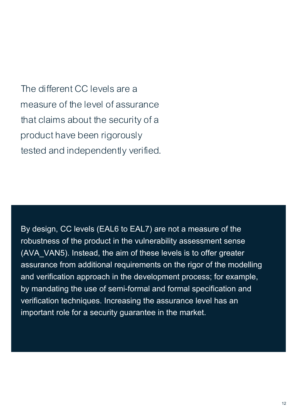The different CC levels are a measure of the level of assurance that claims about the security of a product have been rigorously tested and independently verified.

By design, CC levels (EAL6 to EAL7) are not a measure of the robustness of the product in the vulnerability assessment sense (AVA\_VAN5). Instead, the aim of these levels is to offer greater assurance from additional requirements on the rigor of the modelling and verification approach in the development process; for example, by mandating the use of semi-formal and formal specification and verification techniques. Increasing the assurance level has an important role for a security guarantee in the market.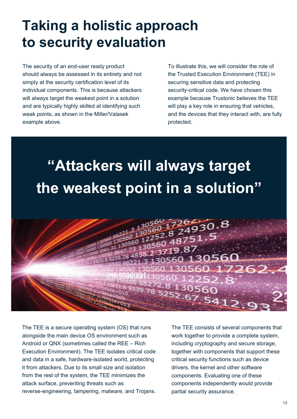#### **Taking a holistic approach to security evaluation**

The security of an end-user ready product should always be assessed in its entirety and not simply at the security certification level of its individual components. This is because attackers will always target the weakest point in a solution and are typically highly skilled at identifying such weak points, as shown in the Miller/Valasek example above.

To illustrate this, we will consider the role of the Trusted Execution Environment (TEE) in securing sensitive data and protecting security-critical code. We have chosen this example because Trustonic believes the TEE will play a key role in ensuring that vehicles, and the devices that they interact with, are fully protected.

# **"Attackers will always target the weakest point in a solution"**



The TEE is a secure operating system (OS) that runs alongside the main device OS environment such as Android or QNX (sometimes called the REE – Rich Execution Environment). The TEE isolates critical code and data in a safe, hardware-isolated world, protecting it from attackers. Due to its small size and isolation from the rest of the system, the TEE minimizes the attack surface, preventing threats such as reverse-engineering, tampering, malware, and Trojans. The TEE consists of several components that work together to provide a complete system, including cryptography and secure storage, together with components that support these critical security functions such as device drivers, the kernel and other software components. Evaluating one of these components independently would provide partial security assurance.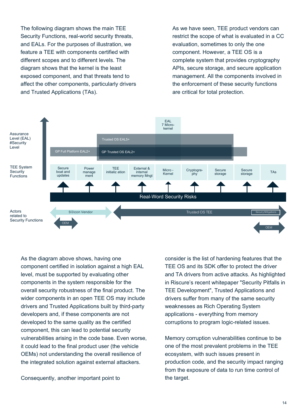The following diagram shows the main TEE Security Functions, real-world security threats, and EALs. For the purposes of illustration, we feature a TEE with components certified with different scopes and to different levels. The diagram shows that the kernel is the least exposed component, and that threats tend to affect the other components, particularly drivers and Trusted Applications (TAs).

As we have seen, TEE product vendors can restrict the scope of what is evaluated in a CC evaluation, sometimes to only the one component. However, a TEE OS is a complete system that provides cryptography APIs, secure storage, and secure application management. All the components involved in the enforcement of these security functions are critical for total protection.



As the diagram above shows, having one component certified in isolation against a high EAL level, must be supported by evaluating other components in the system responsible for the overall security robustness of the final product. The wider components in an open TEE OS may include drivers and Trusted Applications built by third-party developers and, if these components are not developed to the same quality as the certified component, this can lead to potential security vulnerabilities arising in the code base. Even worse, it could lead to the final product user (the vehicle OEMs) not understanding the overall resilience of the integrated solution against external attackers.

Consequently, another important point to

consider is the list of hardening features that the TEE OS and its SDK offer to protect the driver and TA drivers from active attacks. As highlighted in Riscure's recent whitepaper "Security Pitfalls in TEE Development", Trusted Applications and drivers suffer from many of the same security weaknesses as Rich Operating System applications - everything from memory corruptions to program logic-related issues.

Memory corruption vulnerabilities continue to be one of the most prevalent problems in the TEE ecosystem, with such issues present in production code, and the security impact ranging from the exposure of data to run time control of the target.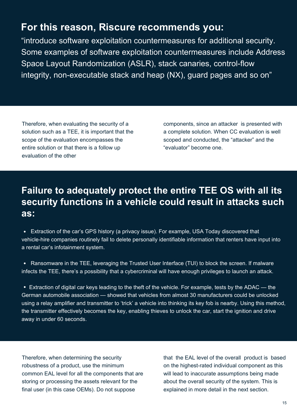#### **For this reason, Riscure recommends you:**

"introduce software exploitation countermeasures for additional security. Some examples of software exploitation countermeasures include Address Space Layout Randomization (ASLR), stack canaries, control-flow integrity, non-executable stack and heap (NX), guard pages and so on"

Therefore, when evaluating the security of a solution such as a TEE, it is important that the scope of the evaluation encompasses the entire solution or that there is a follow up evaluation of the other

components, since an attacker is presented with a complete solution. When CC evaluation is well scoped and conducted, the "attacker" and the "evaluator" become one.

#### **Failure to adequately protect the entire TEE OS with all its security functions in a vehicle could result in attacks such as:**

 Extraction of the car's GPS history (a privacy issue). For example, USA Today discovered that vehicle-hire companies routinely fail to delete personally identifiable information that renters have input into a rental car's infotainment system.

• Ransomware in the TEE, leveraging the Trusted User Interface (TUI) to block the screen. If malware infects the TEE, there's a possibility that a cybercriminal will have enough privileges to launch an attack.

 Extraction of digital car keys leading to the theft of the vehicle. For example, tests by the ADAC — the German automobile association — showed that vehicles from almost 30 manufacturers could be unlocked using a relay amplifier and transmitter to 'trick' a vehicle into thinking its key fob is nearby. Using this method, the transmitter effectively becomes the key, enabling thieves to unlock the car, start the ignition and drive away in under 60 seconds.

Therefore, when determining the security robustness of a product, use the minimum common EAL level for all the components that are storing or processing the assets relevant for the final user (in this case OEMs). Do not suppose

that the EAL level of the overall product is based on the highest-rated individual component as this will lead to inaccurate assumptions being made about the overall security of the system. This is explained in more detail in the next section.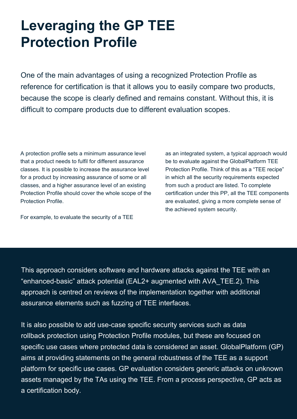#### **Leveraging the GP TEE Protection Profile**

One of the main advantages of using a recognized Protection Profile as reference for certification is that it allows you to easily compare two products, because the scope is clearly defined and remains constant. Without this, it is difficult to compare products due to different evaluation scopes.

A protection profile sets a minimum assurance level that a product needs to fulfil for different assurance classes. It is possible to increase the assurance level for a product by increasing assurance of some or all classes, and a higher assurance level of an existing Protection Profile should cover the whole scope of the Protection Profile.

For example, to evaluate the security of a TEE

as an integrated system, a typical approach would be to evaluate against the GlobalPlatform TEE Protection Profile. Think of this as a "TEE recipe" in which all the security requirements expected from such a product are listed. To complete certification under this PP, all the TEE components are evaluated, giving a more complete sense of the achieved system security.

This approach considers software and hardware attacks against the TEE with an "enhanced-basic" attack potential (EAL2+ augmented with AVA\_TEE.2). This approach is centred on reviews of the implementation together with additional assurance elements such as fuzzing of TEE interfaces.

It is also possible to add use-case specific security services such as data rollback protection using Protection Profile modules, but these are focused on specific use cases where protected data is considered an asset. GlobalPlatform (GP) aims at providing statements on the general robustness of the TEE as a support platform for specific use cases. GP evaluation considers generic attacks on unknown assets managed by the TAs using the TEE. From a process perspective, GP acts as a certification body.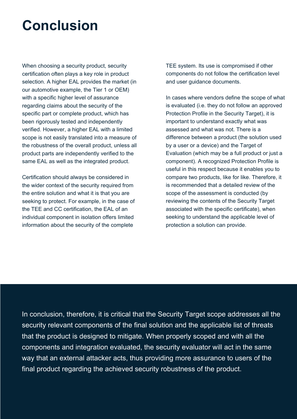#### **Conclusion**

When choosing a security product, security certification often plays a key role in product selection. A higher EAL provides the market (in our automotive example, the Tier 1 or OEM) with a specific higher level of assurance regarding claims about the security of the specific part or complete product, which has been rigorously tested and independently verified. However, a higher EAL with a limited scope is not easily translated into a measure of the robustness of the overall product, unless all product parts are independently verified to the same EAL as well as the integrated product.

Certification should always be considered in the wider context of the security required from the entire solution and what it is that you are seeking to protect. For example, in the case of the TEE and CC certification, the EAL of an individual component in isolation offers limited information about the security of the complete

TEE system. Its use is compromised if other components do not follow the certification level and user guidance documents.

In cases where vendors define the scope of what is evaluated (i.e. they do not follow an approved Protection Profile in the Security Target), it is important to understand exactly what was assessed and what was not. There is a difference between a product (the solution used by a user or a device) and the Target of Evaluation (which may be a full product or just a component). A recognized Protection Profile is useful in this respect because it enables you to compare two products, like for like. Therefore, it is recommended that a detailed review of the scope of the assessment is conducted (by reviewing the contents of the Security Target associated with the specific certificate), when seeking to understand the applicable level of protection a solution can provide.

In conclusion, therefore, it is critical that the Security Target scope addresses all the security relevant components of the final solution and the applicable list of threats that the product is designed to mitigate. When properly scoped and with all the components and integration evaluated, the security evaluator will act in the same way that an external attacker acts, thus providing more assurance to users of the final product regarding the achieved security robustness of the product.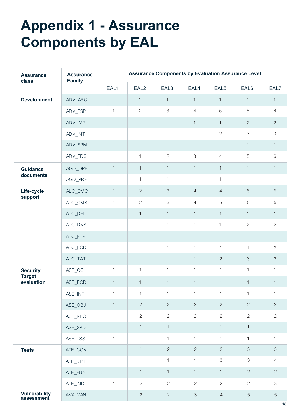### **Appendix 1 - Assurance Components by EAL**

| <b>Assurance</b><br>class          | <b>Assurance</b><br><b>Family</b> | <b>Assurance Components by Evaluation Assurance Level</b> |                  |                           |                |                  |                           |                |  |
|------------------------------------|-----------------------------------|-----------------------------------------------------------|------------------|---------------------------|----------------|------------------|---------------------------|----------------|--|
|                                    |                                   | EAL1                                                      | EAL <sub>2</sub> | EAL3                      | EAL4           | EAL <sub>5</sub> | EAL6                      | EAL7           |  |
| <b>Development</b>                 | ADV_ARC                           |                                                           | $\mathbf 1$      | $\mathbf{1}$              | $\mathbf{1}$   | $\mathbf{1}$     | $\mathbf{1}$              | $\mathbf{1}$   |  |
|                                    | ADV_FSP                           | $\mathbf{1}$                                              | $\overline{2}$   | $\,$ 3 $\,$               | $\overline{4}$ | $\mathbf 5$      | $\mathbf 5$               | $6\,$          |  |
|                                    | ADV_IMP                           |                                                           |                  |                           | $\mathbf{1}$   | $\mathbf{1}$     | $\overline{2}$            | $\overline{2}$ |  |
|                                    | ADV_INT                           |                                                           |                  |                           |                | $\mathbf{2}$     | $\ensuremath{\mathsf{3}}$ | $\mathfrak{S}$ |  |
|                                    | ADV_SPM                           |                                                           |                  |                           |                |                  | $\mathbf{1}$              | $\mathbf{1}$   |  |
|                                    | ADV_TDS                           |                                                           | $\mathbf{1}$     | $\overline{2}$            | $\mathfrak{Z}$ | $\overline{4}$   | 5                         | 6              |  |
| <b>Guidance</b>                    | AGD_OPE                           | $\mathbf{1}$                                              | $\mathbf{1}$     | $\mathbf{1}$              | $\mathbf{1}$   | $\mathbf{1}$     | $\mathbf{1}$              | $\mathbf{1}$   |  |
| documents                          | AGD_PRE                           | $\mathbf{1}$                                              | $\mathbf{1}$     | $\mathbf{1}$              | $\mathbf{1}$   | $\mathbf{1}$     | $\mathbf{1}$              | $\mathbf{1}$   |  |
| Life-cycle                         | ALC_CMC                           | $\mathbf{1}$                                              | $\overline{2}$   | $\mathfrak{Z}$            | $\overline{4}$ | $\overline{4}$   | 5                         | $\sqrt{5}$     |  |
| support                            | $ALC\_CMS$                        | $\mathbf{1}$                                              | $\overline{2}$   | $\ensuremath{\mathsf{3}}$ | $\overline{4}$ | 5                | 5                         | $\mathbf 5$    |  |
|                                    | ALC_DEL                           |                                                           | $\mathbf{1}$     | $\mathbf{1}$              | $\mathbf{1}$   | $\mathbf{1}$     | $\mathbf{1}$              | $\mathbf{1}$   |  |
|                                    | ALC_DVS                           |                                                           |                  | $\mathfrak 1$             | $\mathbf{1}$   | $\mathbf 1$      | $\overline{2}$            | $\overline{2}$ |  |
|                                    | ALC_FLR                           |                                                           |                  |                           |                |                  |                           |                |  |
|                                    | ALC_LCD                           |                                                           |                  | $\mathbf 1$               | $\mathbf{1}$   | $\mathbf{1}$     | $\mathbf{1}$              | $\overline{2}$ |  |
|                                    | $ALC_TAT$                         |                                                           |                  |                           | $\mathbf{1}$   | $\overline{2}$   | $\ensuremath{\mathsf{3}}$ | $\mathfrak{S}$ |  |
| <b>Security</b>                    | ASE_CCL                           | $\mathbf{1}$                                              | $\mathbf{1}$     | $\mathbf{1}$              | $\mathbf{1}$   | $\mathbf{1}$     | $\mathbf{1}$              | $\mathbf{1}$   |  |
| <b>Target</b><br>evaluation        | ASE_ECD                           | $\mathbf{1}$                                              | $\mathbf{1}$     | $\mathbf{1}$              | $\mathbf 1$    | $\mathbf 1$      | $\mathbf{1}$              | $\mathbf 1$    |  |
|                                    | ASE_INT                           | $\mathbf{1}$                                              | $\mathbf{1}$     | $\mathbf{1}$              | $\mathbf{1}$   | $\mathbf{1}$     | $\mathbf{1}$              | $\mathbf{1}$   |  |
|                                    | ASE_OBJ                           | $\mathbf{1}$                                              | $\overline{2}$   | $\overline{2}$            | $\overline{2}$ | $\overline{2}$   | $\overline{2}$            | $\overline{2}$ |  |
|                                    | ASE_REQ                           | $\mathbf{1}$                                              | $\mathbf{2}$     | $\mathbf{2}$              | $\overline{2}$ | $\overline{2}$   | $\overline{2}$            | $\overline{2}$ |  |
|                                    | ASE_SPD                           |                                                           | $\mathbf{1}$     | $\mathbf{1}$              | $\mathbf{1}$   | $\mathbf{1}$     | $\mathbf{1}$              | $\mathbf{1}$   |  |
|                                    | ASE_TSS                           | $\mathbf{1}$                                              | $\mathbf{1}$     | $\mathbf{1}$              | $\mathbf{1}$   | $\mathbf{1}$     | $\mathbf{1}$              | $\mathbf{1}$   |  |
| <b>Tests</b>                       | ATE_COV                           |                                                           | $\mathbf{1}$     | $\overline{2}$            | $\overline{2}$ | $\overline{2}$   | $\mathfrak{S}$            | $\mathfrak{S}$ |  |
|                                    | ATE_DPT                           |                                                           |                  | $\mathbf{1}$              | $\mathbf{1}$   | $\mathfrak{S}$   | $\mathfrak 3$             | $\overline{4}$ |  |
|                                    | ATE_FUN                           |                                                           | $\mathbf{1}$     | $\mathbf{1}$              | $\mathbf{1}$   | $\mathbf{1}$     | $\overline{2}$            | $\mathbf{2}$   |  |
|                                    | ATE_IND                           | $\mathbf{1}$                                              | $\overline{2}$   | $\overline{2}$            | $\overline{2}$ | $\overline{2}$   | $\overline{2}$            | $\mathfrak{S}$ |  |
| <b>Vulnerability</b><br>assessment | AVA_VAN                           | $\mathbf{1}$                                              | $\overline{2}$   | $\overline{2}$            | $\mathfrak{S}$ | $\overline{4}$   | $\sqrt{5}$                | 5              |  |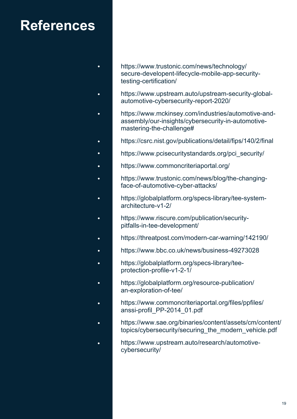#### **References**

 $\bullet$ 

 $\bullet$ 

- https://www.trustonic.com/news/technology/ secure-developent-lifecycle-mobile-app-securitytesting-certification/
- https://www.upstream.auto/upstream-security-global- $\bullet$ automotive-cybersecurity-report-2020/
- https://www.mckinsey.com/industries/automotive-and- $\bullet$ assembly/our-insights/cybersecurity-in-automotivemastering-the-challenge#
- https://csrc.nist.gov/publications/detail/fips/140/2/final ä
- https://www.pcisecuritystandards.org/pci\_security/
- https://www.commoncriteriaportal.org/
- https://www.trustonic.com/news/blog/the-changingface-of-automotive-cyber-attacks/
- https://globalplatform.org/specs-library/tee-systemarchitecture-v1-2/
- https://www.riscure.com/publication/security- $\bullet$ pitfalls-in-tee-development/
- https://threatpost.com/modern-car-warning/142190/  $\bullet$
- https://www.bbc.co.uk/news/business-49273028
- https://globalplatform.org/specs-library/teeä protection-profile-v1-2-1/
	- https://globalplatform.org/resource-publication/ an-exploration-of-tee/
- https://www.commoncriteriaportal.org/files/ppfiles/  $\bullet$ anssi-profil\_PP-2014\_01.pdf
- https://www.sae.org/binaries/content/assets/cm/content/  $\bullet$ topics/cybersecurity/securing\_the\_modern\_vehicle.pdf
- https://www.upstream.auto/research/automotivecybersecurity/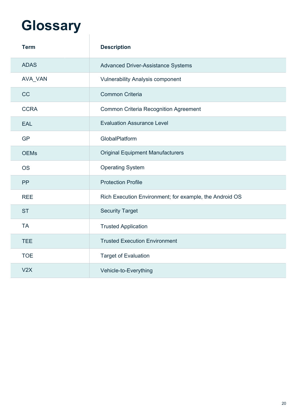# **Glossary**

| <b>Term</b> | <b>Description</b>                                      |
|-------------|---------------------------------------------------------|
| <b>ADAS</b> | <b>Advanced Driver-Assistance Systems</b>               |
| AVA_VAN     | <b>Vulnerability Analysis component</b>                 |
| CC          | <b>Common Criteria</b>                                  |
| <b>CCRA</b> | <b>Common Criteria Recognition Agreement</b>            |
| <b>EAL</b>  | <b>Evaluation Assurance Level</b>                       |
| <b>GP</b>   | GlobalPlatform                                          |
| <b>OEMs</b> | <b>Original Equipment Manufacturers</b>                 |
| <b>OS</b>   | <b>Operating System</b>                                 |
| PP          | <b>Protection Profile</b>                               |
| <b>REE</b>  | Rich Execution Environment; for example, the Android OS |
| <b>ST</b>   | <b>Security Target</b>                                  |
| <b>TA</b>   | <b>Trusted Application</b>                              |
| <b>TEE</b>  | <b>Trusted Execution Environment</b>                    |
| <b>TOE</b>  | <b>Target of Evaluation</b>                             |
| V2X         | Vehicle-to-Everything                                   |